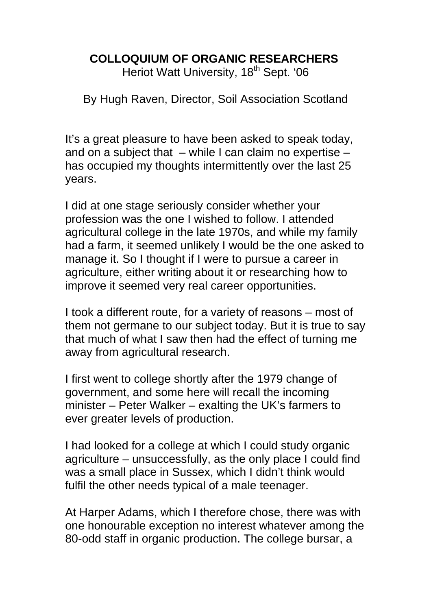## **COLLOQUIUM OF ORGANIC RESEARCHERS**

Heriot Watt University, 18<sup>th</sup> Sept. '06

By Hugh Raven, Director, Soil Association Scotland

It's a great pleasure to have been asked to speak today, and on a subject that  $-$  while I can claim no expertise  $$ has occupied my thoughts intermittently over the last 25 years.

I did at one stage seriously consider whether your profession was the one I wished to follow. I attended agricultural college in the late 1970s, and while my family had a farm, it seemed unlikely I would be the one asked to manage it. So I thought if I were to pursue a career in agriculture, either writing about it or researching how to improve it seemed very real career opportunities.

I took a different route, for a variety of reasons – most of them not germane to our subject today. But it is true to say that much of what I saw then had the effect of turning me away from agricultural research.

I first went to college shortly after the 1979 change of government, and some here will recall the incoming minister – Peter Walker – exalting the UK's farmers to ever greater levels of production.

I had looked for a college at which I could study organic agriculture – unsuccessfully, as the only place I could find was a small place in Sussex, which I didn't think would fulfil the other needs typical of a male teenager.

At Harper Adams, which I therefore chose, there was with one honourable exception no interest whatever among the 80-odd staff in organic production. The college bursar, a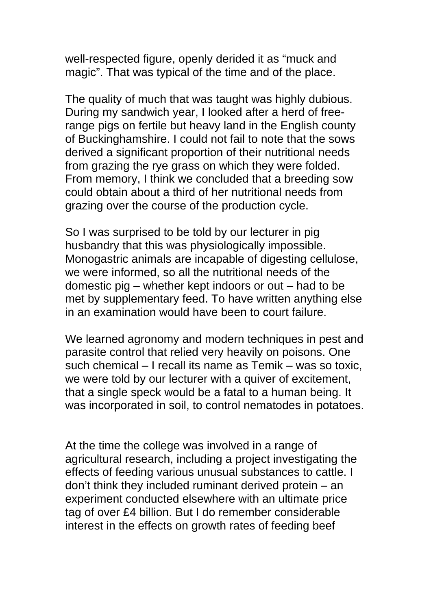well-respected figure, openly derided it as "muck and magic". That was typical of the time and of the place.

The quality of much that was taught was highly dubious. During my sandwich year, I looked after a herd of freerange pigs on fertile but heavy land in the English county of Buckinghamshire. I could not fail to note that the sows derived a significant proportion of their nutritional needs from grazing the rye grass on which they were folded. From memory, I think we concluded that a breeding sow could obtain about a third of her nutritional needs from grazing over the course of the production cycle.

So I was surprised to be told by our lecturer in pig husbandry that this was physiologically impossible. Monogastric animals are incapable of digesting cellulose, we were informed, so all the nutritional needs of the domestic pig – whether kept indoors or out – had to be met by supplementary feed. To have written anything else in an examination would have been to court failure.

We learned agronomy and modern techniques in pest and parasite control that relied very heavily on poisons. One such chemical – I recall its name as Temik – was so toxic, we were told by our lecturer with a quiver of excitement, that a single speck would be a fatal to a human being. It was incorporated in soil, to control nematodes in potatoes.

At the time the college was involved in a range of agricultural research, including a project investigating the effects of feeding various unusual substances to cattle. I don't think they included ruminant derived protein – an experiment conducted elsewhere with an ultimate price tag of over £4 billion. But I do remember considerable interest in the effects on growth rates of feeding beef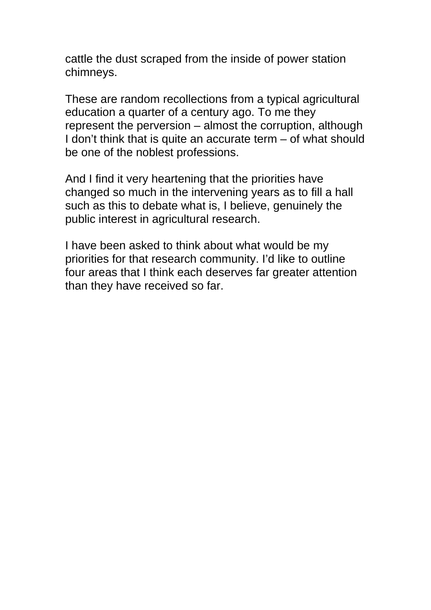cattle the dust scraped from the inside of power station chimneys.

These are random recollections from a typical agricultural education a quarter of a century ago. To me they represent the perversion – almost the corruption, although I don't think that is quite an accurate term – of what should be one of the noblest professions.

And I find it very heartening that the priorities have changed so much in the intervening years as to fill a hall such as this to debate what is, I believe, genuinely the public interest in agricultural research.

I have been asked to think about what would be my priorities for that research community. I'd like to outline four areas that I think each deserves far greater attention than they have received so far.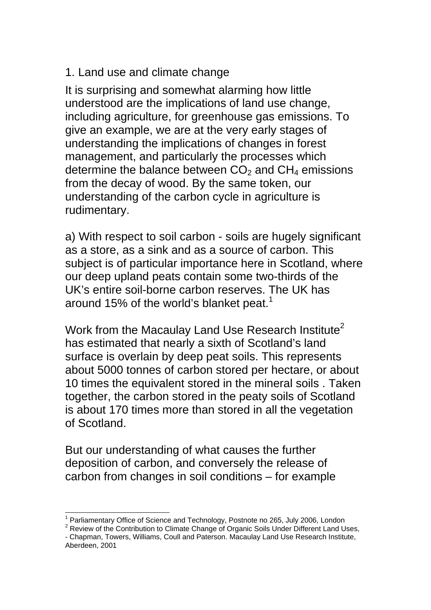1. Land use and climate change

It is surprising and somewhat alarming how little understood are the implications of land use change, including agriculture, for greenhouse gas emissions. To give an example, we are at the very early stages of understanding the implications of changes in forest management, and particularly the processes which determine the balance between  $CO<sub>2</sub>$  and  $CH<sub>4</sub>$  emissions from the decay of wood. By the same token, our understanding of the carbon cycle in agriculture is rudimentary.

a) With respect to soil carbon - soils are hugely significant as a store, as a sink and as a source of carbon. This subject is of particular importance here in Scotland, where our deep upland peats contain some two-thirds of the UK's entire soil-borne carbon reserves. The UK has around [1](#page-3-0)5% of the world's blanket peat.<sup>1</sup>

Work from the Macaulay Land Use Research Institute<sup>[2](#page-3-1)</sup> has estimated that nearly a sixth of Scotland's land surface is overlain by deep peat soils. This represents about 5000 tonnes of carbon stored per hectare, or about 10 times the equivalent stored in the mineral soils . Taken together, the carbon stored in the peaty soils of Scotland is about 170 times more than stored in all the vegetation of Scotland.

But our understanding of what causes the further deposition of carbon, and conversely the release of carbon from changes in soil conditions – for example

<span id="page-3-0"></span> $\overline{\phantom{a}}$  $1$  Parliamentary Office of Science and Technology, Postnote no 265, July 2006, London

<span id="page-3-1"></span><sup>&</sup>lt;sup>2</sup> Review of the Contribution to Climate Change of Organic Soils Under Different Land Uses. - Chapman, Towers, Williams, Coull and Paterson. Macaulay Land Use Research Institute, Aberdeen, 2001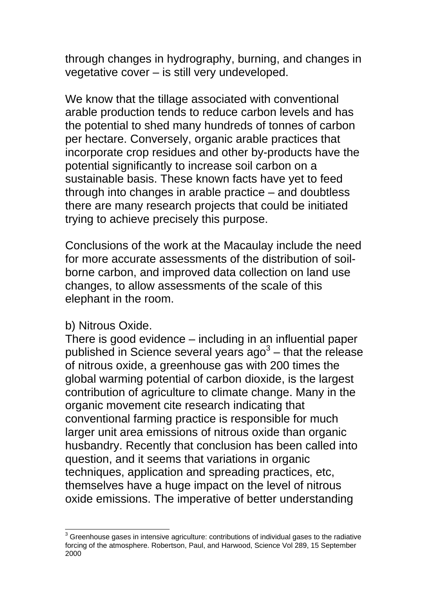through changes in hydrography, burning, and changes in vegetative cover – is still very undeveloped.

We know that the tillage associated with conventional arable production tends to reduce carbon levels and has the potential to shed many hundreds of tonnes of carbon per hectare. Conversely, organic arable practices that incorporate crop residues and other by-products have the potential significantly to increase soil carbon on a sustainable basis. These known facts have yet to feed through into changes in arable practice – and doubtless there are many research projects that could be initiated trying to achieve precisely this purpose.

Conclusions of the work at the Macaulay include the need for more accurate assessments of the distribution of soilborne carbon, and improved data collection on land use changes, to allow assessments of the scale of this elephant in the room.

### b) Nitrous Oxide.

 $\overline{\phantom{a}}$ 

There is good evidence – including in an influential paper published in Science several years ago<sup>[3](#page-4-0)</sup> – that the release of nitrous oxide, a greenhouse gas with 200 times the global warming potential of carbon dioxide, is the largest contribution of agriculture to climate change. Many in the organic movement cite research indicating that conventional farming practice is responsible for much larger unit area emissions of nitrous oxide than organic husbandry. Recently that conclusion has been called into question, and it seems that variations in organic techniques, application and spreading practices, etc, themselves have a huge impact on the level of nitrous oxide emissions. The imperative of better understanding

<span id="page-4-0"></span> $3$  Greenhouse gases in intensive agriculture: contributions of individual gases to the radiative forcing of the atmosphere. Robertson, Paul, and Harwood, Science Vol 289, 15 September 2000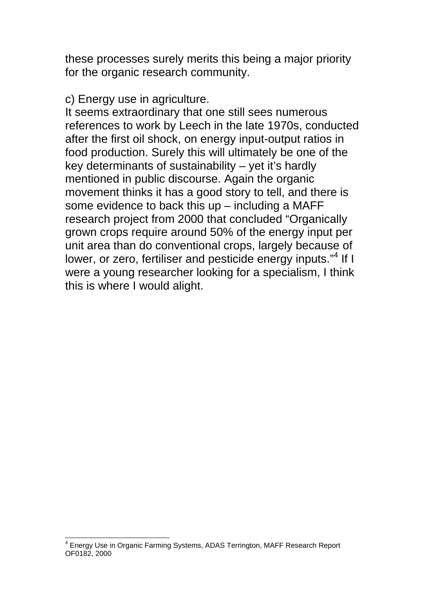these processes surely merits this being a major priority for the organic research community.

#### c) Energy use in agriculture.

It seems extraordinary that one still sees numerous references to work by Leech in the late 1970s, conducted after the first oil shock, on energy input-output ratios in food production. Surely this will ultimately be one of the key determinants of sustainability – yet it's hardly mentioned in public discourse. Again the organic movement thinks it has a good story to tell, and there is some evidence to back this up – including a MAFF research project from 2000 that concluded "Organically grown crops require around 50% of the energy input per unit area than do conventional crops, largely because of lower, or zero, fertiliser and pesticide energy inputs."<sup>[4](#page-5-0)</sup> If I were a young researcher looking for a specialism, I think this is where I would alight.

<span id="page-5-0"></span> $\overline{\phantom{a}}$ <sup>4</sup> Energy Use in Organic Farming Systems, ADAS Terrington, MAFF Research Report OF0182, 2000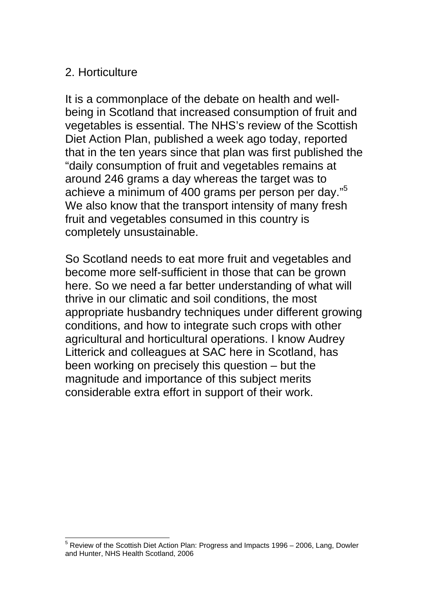## 2. Horticulture

It is a commonplace of the debate on health and wellbeing in Scotland that increased consumption of fruit and vegetables is essential. The NHS's review of the Scottish Diet Action Plan, published a week ago today, reported that in the ten years since that plan was first published the "daily consumption of fruit and vegetables remains at around 246 grams a day whereas the target was to achieve a minimum of 400 grams per person per day."[5](#page-6-0) We also know that the transport intensity of many fresh fruit and vegetables consumed in this country is completely unsustainable.

So Scotland needs to eat more fruit and vegetables and become more self-sufficient in those that can be grown here. So we need a far better understanding of what will thrive in our climatic and soil conditions, the most appropriate husbandry techniques under different growing conditions, and how to integrate such crops with other agricultural and horticultural operations. I know Audrey Litterick and colleagues at SAC here in Scotland, has been working on precisely this question – but the magnitude and importance of this subject merits considerable extra effort in support of their work.

<span id="page-6-0"></span> $\overline{\phantom{a}}$  $<sup>5</sup>$  Review of the Scottish Diet Action Plan: Progress and Impacts 1996 – 2006, Lang, Dowler</sup> and Hunter, NHS Health Scotland, 2006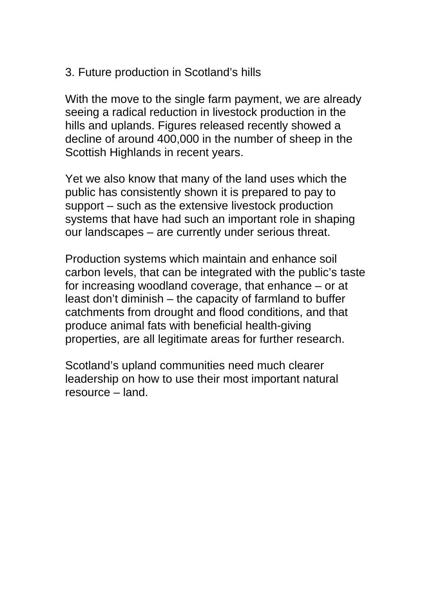## 3. Future production in Scotland's hills

With the move to the single farm payment, we are already seeing a radical reduction in livestock production in the hills and uplands. Figures released recently showed a decline of around 400,000 in the number of sheep in the Scottish Highlands in recent years.

Yet we also know that many of the land uses which the public has consistently shown it is prepared to pay to support – such as the extensive livestock production systems that have had such an important role in shaping our landscapes – are currently under serious threat.

Production systems which maintain and enhance soil carbon levels, that can be integrated with the public's taste for increasing woodland coverage, that enhance – or at least don't diminish – the capacity of farmland to buffer catchments from drought and flood conditions, and that produce animal fats with beneficial health-giving properties, are all legitimate areas for further research.

Scotland's upland communities need much clearer leadership on how to use their most important natural resource – land.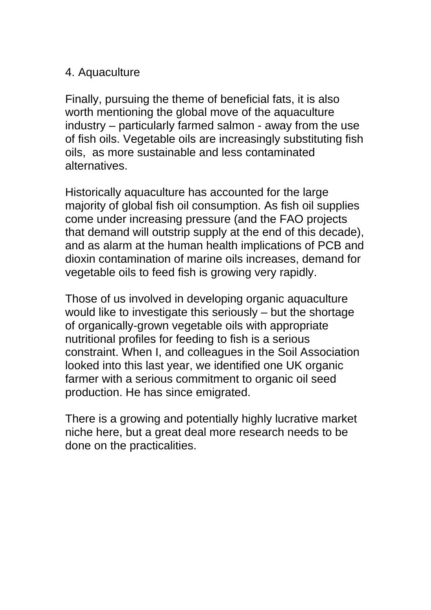### 4. Aquaculture

Finally, pursuing the theme of beneficial fats, it is also worth mentioning the global move of the aquaculture industry – particularly farmed salmon - away from the use of fish oils. Vegetable oils are increasingly substituting fish oils, as more sustainable and less contaminated alternatives.

Historically aquaculture has accounted for the large majority of global fish oil consumption. As fish oil supplies come under increasing pressure (and the FAO projects that demand will outstrip supply at the end of this decade), and as alarm at the human health implications of PCB and dioxin contamination of marine oils increases, demand for vegetable oils to feed fish is growing very rapidly.

Those of us involved in developing organic aquaculture would like to investigate this seriously – but the shortage of organically-grown vegetable oils with appropriate nutritional profiles for feeding to fish is a serious constraint. When I, and colleagues in the Soil Association looked into this last year, we identified one UK organic farmer with a serious commitment to organic oil seed production. He has since emigrated.

There is a growing and potentially highly lucrative market niche here, but a great deal more research needs to be done on the practicalities.